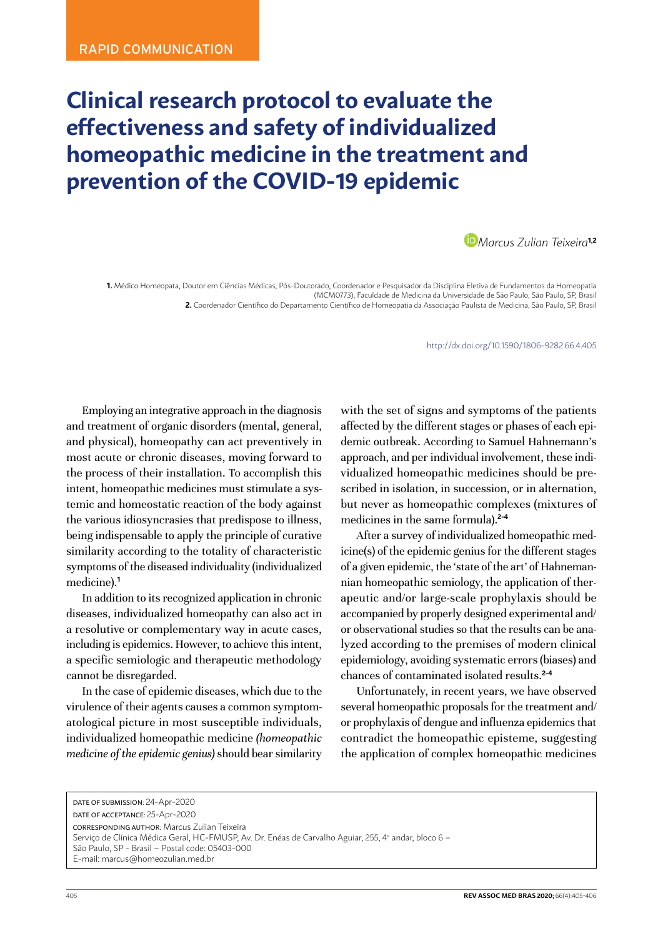## <span id="page-0-0"></span>**Clinical research protocol to evaluate the effectiveness and safety of individualized homeopathic medicine in the treatment and prevention of the COVID-19 epidemic**



**1.** Médico Homeopata, Doutor em Ciências Médicas, Pós-Doutorado, Coordenador e Pesquisador da Disciplina Eletiva de Fundamentos da Homeopatia (MCM0773), Faculdade de Medicina da Universidade de São Paulo, São Paulo, SP, Brasil **2.** Coordenador Científico do Departamento Científico de Homeopatia da Associação Paulista de Medicina, São Paulo, SP, Brasil

http://dx.doi.org/10.1590/1806-9282.66.4[.405](#page-0-0)

Employing an integrative approach in the diagnosis and treatment of organic disorders (mental, general, and physical), homeopathy can act preventively in most acute or chronic diseases, moving forward to the process of their installation. To accomplish this intent, homeopathic medicines must stimulate a systemic and homeostatic reaction of the body against the various idiosyncrasies that predispose to illness, being indispensable to apply the principle of curative similarity according to the totality of characteristic symptoms of the diseased individuality (individualized medicine).**<sup>1</sup>**

In addition to its recognized application in chronic diseases, individualized homeopathy can also act in a resolutive or complementary way in acute cases, including is epidemics. However, to achieve this intent, a specific semiologic and therapeutic methodology cannot be disregarded.

In the case of epidemic diseases, which due to the virulence of their agents causes a common symptomatological picture in most susceptible individuals, individualized homeopathic medicine *(homeopathic medicine of the epidemic genius)* should bear similarity with the set of signs and symptoms of the patients affected by the different stages or phases of each epidemic outbreak. According to Samuel Hahnemann's approach, and per individual involvement, these individualized homeopathic medicines should be prescribed in isolation, in succession, or in alternation, but never as homeopathic complexes (mixtures of medicines in the same formula).**2-4**

After a survey of individualized homeopathic medicine(s) of the epidemic genius for the different stages of a given epidemic, the 'state of the art' of Hahnemannian homeopathic semiology, the application of therapeutic and/or large-scale prophylaxis should be accompanied by properly designed experimental and/ or observational studies so that the results can be analyzed according to the premises of modern clinical epidemiology, avoiding systematic errors (biases) and chances of contaminated isolated results.**2-4**

Unfortunately, in recent years, we have observed several homeopathic proposals for the treatment and/ or prophylaxis of dengue and influenza epidemics that contradict the homeopathic episteme, suggesting the application of complex homeopathic medicines

DATE OF SUBMISSION: 24-Apr-2020 DATE OF ACCEPTANCE: 25-Apr-2020 CORRESPONDING AUTHOR: Marcus Zulian Teixeira Serviço de Clínica Médica Geral, HC-FMUSP, Av. Dr. Enéas de Carvalho Aguiar, 255, 4º andar, bloco 6 – São Paulo, SP - Brasil – Postal code: 05403-000 E-mail: [marcus@homeozulian.med.br](mailto:marcus@homeozulian.med.br)